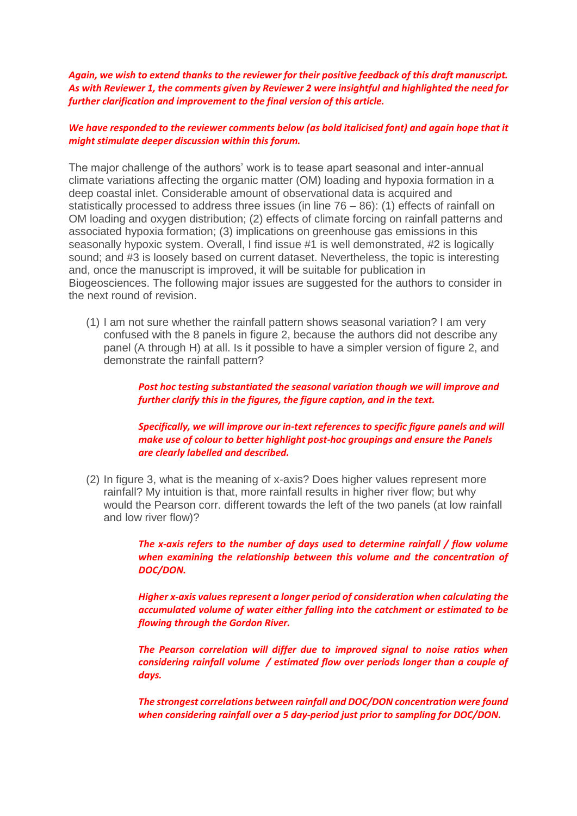*Again, we wish to extend thanks to the reviewer for their positive feedback of this draft manuscript. As with Reviewer 1, the comments given by Reviewer 2 were insightful and highlighted the need for further clarification and improvement to the final version of this article.* 

## *We have responded to the reviewer comments below (as bold italicised font) and again hope that it might stimulate deeper discussion within this forum.*

The major challenge of the authors' work is to tease apart seasonal and inter-annual climate variations affecting the organic matter (OM) loading and hypoxia formation in a deep coastal inlet. Considerable amount of observational data is acquired and statistically processed to address three issues (in line 76 – 86): (1) effects of rainfall on OM loading and oxygen distribution; (2) effects of climate forcing on rainfall patterns and associated hypoxia formation; (3) implications on greenhouse gas emissions in this seasonally hypoxic system. Overall, I find issue #1 is well demonstrated, #2 is logically sound; and #3 is loosely based on current dataset. Nevertheless, the topic is interesting and, once the manuscript is improved, it will be suitable for publication in Biogeosciences. The following major issues are suggested for the authors to consider in the next round of revision.

(1) I am not sure whether the rainfall pattern shows seasonal variation? I am very confused with the 8 panels in figure 2, because the authors did not describe any panel (A through H) at all. Is it possible to have a simpler version of figure 2, and demonstrate the rainfall pattern?

> *Post hoc testing substantiated the seasonal variation though we will improve and further clarify this in the figures, the figure caption, and in the text.*

*Specifically, we will improve our in-text references to specific figure panels and will make use of colour to better highlight post-hoc groupings and ensure the Panels are clearly labelled and described.* 

(2) In figure 3, what is the meaning of x-axis? Does higher values represent more rainfall? My intuition is that, more rainfall results in higher river flow; but why would the Pearson corr. different towards the left of the two panels (at low rainfall and low river flow)?

> *The x-axis refers to the number of days used to determine rainfall / flow volume when examining the relationship between this volume and the concentration of DOC/DON.*

> *Higher x-axis values represent a longer period of consideration when calculating the accumulated volume of water either falling into the catchment or estimated to be flowing through the Gordon River.*

> *The Pearson correlation will differ due to improved signal to noise ratios when considering rainfall volume / estimated flow over periods longer than a couple of days.*

> *The strongest correlations between rainfall and DOC/DON concentration were found when considering rainfall over a 5 day-period just prior to sampling for DOC/DON.*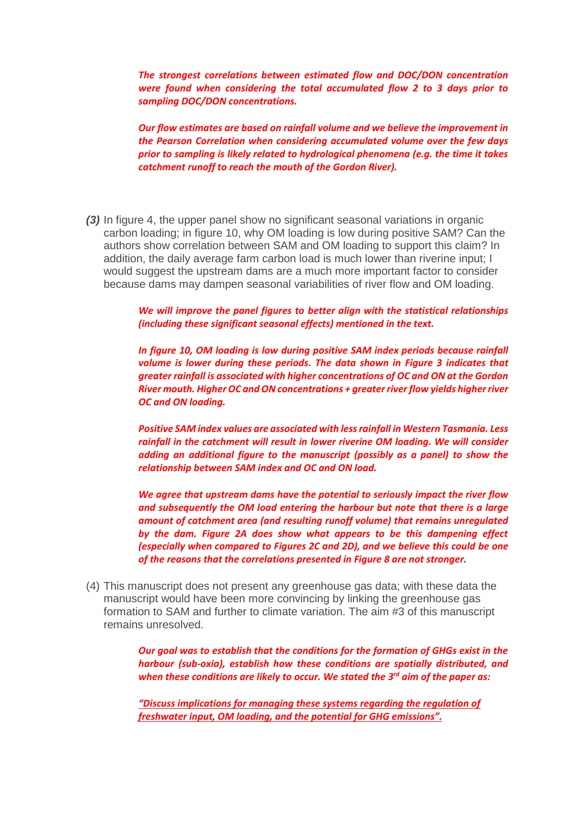*The strongest correlations between estimated flow and DOC/DON concentration were found when considering the total accumulated flow 2 to 3 days prior to sampling DOC/DON concentrations.* 

*Our flow estimates are based on rainfall volume and we believe the improvement in the Pearson Correlation when considering accumulated volume over the few days prior to sampling is likely related to hydrological phenomena (e.g. the time it takes catchment runoff to reach the mouth of the Gordon River).* 

*(3)* In figure 4, the upper panel show no significant seasonal variations in organic carbon loading; in figure 10, why OM loading is low during positive SAM? Can the authors show correlation between SAM and OM loading to support this claim? In addition, the daily average farm carbon load is much lower than riverine input; I would suggest the upstream dams are a much more important factor to consider because dams may dampen seasonal variabilities of river flow and OM loading.

> *We will improve the panel figures to better align with the statistical relationships (including these significant seasonal effects) mentioned in the text.*

> *In figure 10, OM loading is low during positive SAM index periods because rainfall volume is lower during these periods. The data shown in Figure 3 indicates that greater rainfall is associated with higher concentrations of OC and ON at the Gordon River mouth. HigherOC and ON concentrations + greater river flow yields higher river OC and ON loading.*

> *Positive SAM index values are associated with less rainfall in Western Tasmania. Less rainfall in the catchment will result in lower riverine OM loading. We will consider adding an additional figure to the manuscript (possibly as a panel) to show the relationship between SAM index and OC and ON load.*

> *We agree that upstream dams have the potential to seriously impact the river flow and subsequently the OM load entering the harbour but note that there is a large amount of catchment area (and resulting runoff volume) that remains unregulated by the dam. Figure 2A does show what appears to be this dampening effect (especially when compared to Figures 2C and 2D), and we believe this could be one of the reasons that the correlations presented in Figure 8 are not stronger.*

(4) This manuscript does not present any greenhouse gas data; with these data the manuscript would have been more convincing by linking the greenhouse gas formation to SAM and further to climate variation. The aim #3 of this manuscript remains unresolved.

> *Our goal was to establish that the conditions for the formation of GHGs exist in the harbour (sub-oxia), establish how these conditions are spatially distributed, and when these conditions are likely to occur. We stated the 3rd aim of the paper as:*

*"Discuss implications for managing these systems regarding the regulation of freshwater input, OM loading, and the potential for GHG emissions".*